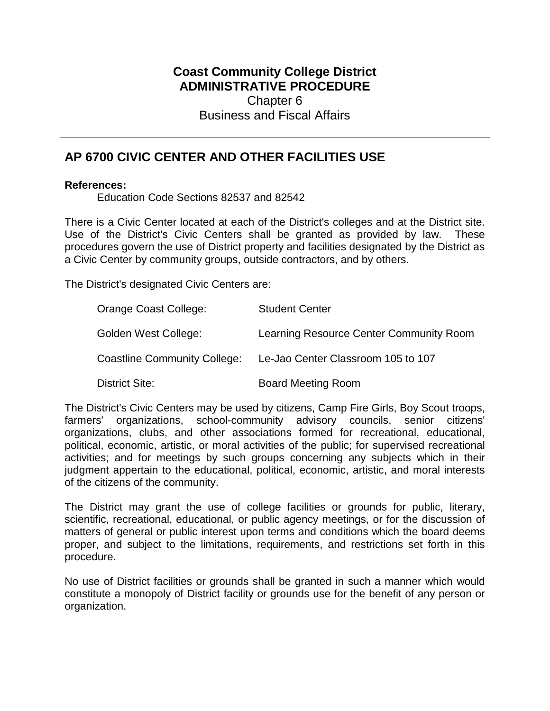# **Coast Community College District ADMINISTRATIVE PROCEDURE** Chapter 6 Business and Fiscal Affairs

# **AP 6700 CIVIC CENTER AND OTHER FACILITIES USE**

# **References:**

Education Code Sections 82537 and 82542

There is a Civic Center located at each of the District's colleges and at the District site. Use of the District's Civic Centers shall be granted as provided by law. These procedures govern the use of District property and facilities designated by the District as a Civic Center by community groups, outside contractors, and by others.

The District's designated Civic Centers are:

| Orange Coast College:               | <b>Student Center</b>                   |
|-------------------------------------|-----------------------------------------|
| Golden West College:                | Learning Resource Center Community Room |
| <b>Coastline Community College:</b> | Le-Jao Center Classroom 105 to 107      |
| District Site:                      | <b>Board Meeting Room</b>               |

The District's Civic Centers may be used by citizens, Camp Fire Girls, Boy Scout troops, farmers' organizations, school-community advisory councils, senior citizens' organizations, clubs, and other associations formed for recreational, educational, political, economic, artistic, or moral activities of the public; for supervised recreational activities; and for meetings by such groups concerning any subjects which in their judgment appertain to the educational, political, economic, artistic, and moral interests of the citizens of the community.

The District may grant the use of college facilities or grounds for public, literary, scientific, recreational, educational, or public agency meetings, or for the discussion of matters of general or public interest upon terms and conditions which the board deems proper, and subject to the limitations, requirements, and restrictions set forth in this procedure.

No use of District facilities or grounds shall be granted in such a manner which would constitute a monopoly of District facility or grounds use for the benefit of any person or organization.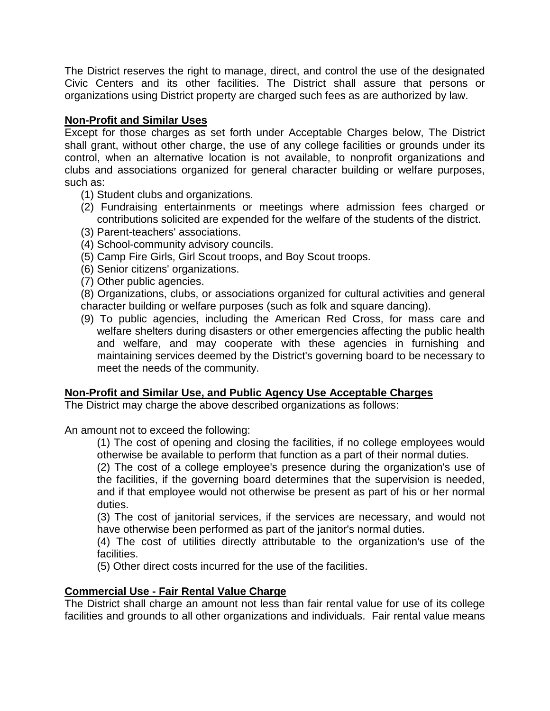The District reserves the right to manage, direct, and control the use of the designated Civic Centers and its other facilities. The District shall assure that persons or organizations using District property are charged such fees as are authorized by law.

# **Non-Profit and Similar Uses**

Except for those charges as set forth under Acceptable Charges below, The District shall grant, without other charge, the use of any college facilities or grounds under its control, when an alternative location is not available, to nonprofit organizations and clubs and associations organized for general character building or welfare purposes, such as:

- (1) Student clubs and organizations.
- (2) Fundraising entertainments or meetings where admission fees charged or contributions solicited are expended for the welfare of the students of the district.
- (3) Parent-teachers' associations.
- (4) School-community advisory councils.
- (5) Camp Fire Girls, Girl Scout troops, and Boy Scout troops.
- (6) Senior citizens' organizations.
- (7) Other public agencies.

(8) Organizations, clubs, or associations organized for cultural activities and general character building or welfare purposes (such as folk and square dancing).

(9) To public agencies, including the American Red Cross, for mass care and welfare shelters during disasters or other emergencies affecting the public health and welfare, and may cooperate with these agencies in furnishing and maintaining services deemed by the District's governing board to be necessary to meet the needs of the community.

# **Non-Profit and Similar Use, and Public Agency Use Acceptable Charges**

The District may charge the above described organizations as follows:

An amount not to exceed the following:

(1) The cost of opening and closing the facilities, if no college employees would otherwise be available to perform that function as a part of their normal duties.

(2) The cost of a college employee's presence during the organization's use of the facilities, if the governing board determines that the supervision is needed, and if that employee would not otherwise be present as part of his or her normal duties.

(3) The cost of janitorial services, if the services are necessary, and would not have otherwise been performed as part of the janitor's normal duties.

(4) The cost of utilities directly attributable to the organization's use of the facilities.

(5) Other direct costs incurred for the use of the facilities.

# **Commercial Use - Fair Rental Value Charge**

The District shall charge an amount not less than fair rental value for use of its college facilities and grounds to all other organizations and individuals. Fair rental value means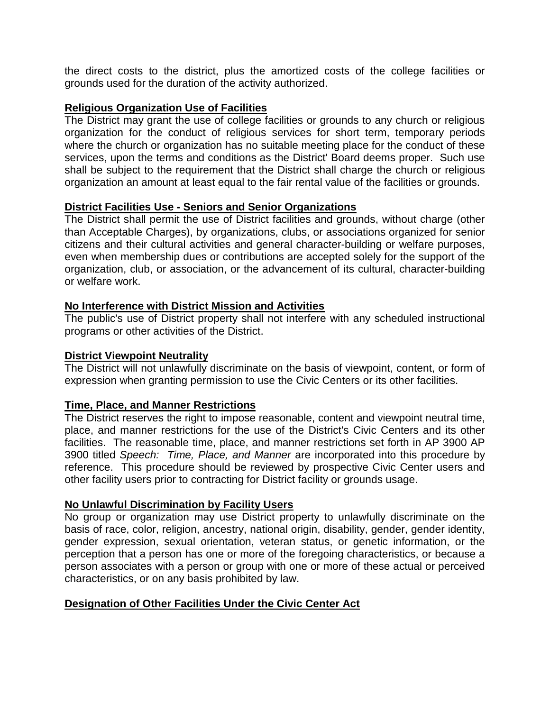the direct costs to the district, plus the amortized costs of the college facilities or grounds used for the duration of the activity authorized.

# **Religious Organization Use of Facilities**

The District may grant the use of college facilities or grounds to any church or religious organization for the conduct of religious services for short term, temporary periods where the church or organization has no suitable meeting place for the conduct of these services, upon the terms and conditions as the District' Board deems proper. Such use shall be subject to the requirement that the District shall charge the church or religious organization an amount at least equal to the fair rental value of the facilities or grounds.

# **District Facilities Use - Seniors and Senior Organizations**

The District shall permit the use of District facilities and grounds, without charge (other than Acceptable Charges), by organizations, clubs, or associations organized for senior citizens and their cultural activities and general character-building or welfare purposes, even when membership dues or contributions are accepted solely for the support of the organization, club, or association, or the advancement of its cultural, character-building or welfare work.

# **No Interference with District Mission and Activities**

The public's use of District property shall not interfere with any scheduled instructional programs or other activities of the District.

### **District Viewpoint Neutrality**

The District will not unlawfully discriminate on the basis of viewpoint, content, or form of expression when granting permission to use the Civic Centers or its other facilities.

### **Time, Place, and Manner Restrictions**

The District reserves the right to impose reasonable, content and viewpoint neutral time, place, and manner restrictions for the use of the District's Civic Centers and its other facilities. The reasonable time, place, and manner restrictions set forth in AP 3900 AP 3900 titled *Speech: Time, Place, and Manner* are incorporated into this procedure by reference. This procedure should be reviewed by prospective Civic Center users and other facility users prior to contracting for District facility or grounds usage.

### **No Unlawful Discrimination by Facility Users**

No group or organization may use District property to unlawfully discriminate on the basis of race, color, religion, ancestry, national origin, disability, gender, gender identity, gender expression, sexual orientation, veteran status, or genetic information, or the perception that a person has one or more of the foregoing characteristics, or because a person associates with a person or group with one or more of these actual or perceived characteristics, or on any basis prohibited by law.

# **Designation of Other Facilities Under the Civic Center Act**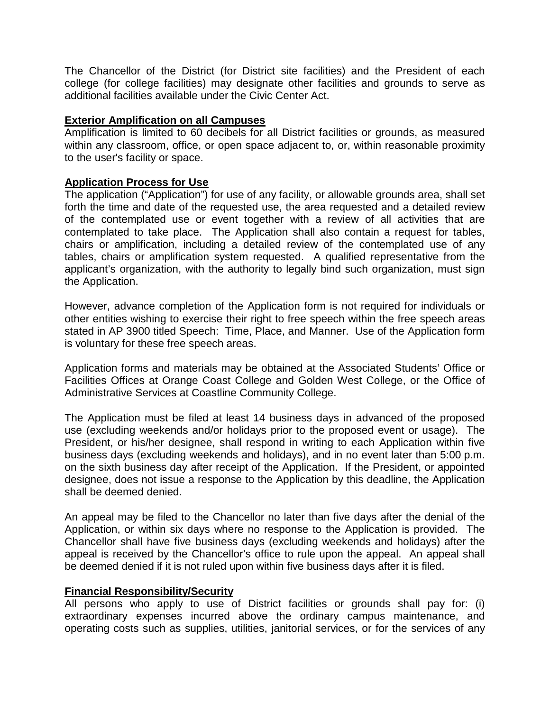The Chancellor of the District (for District site facilities) and the President of each college (for college facilities) may designate other facilities and grounds to serve as additional facilities available under the Civic Center Act.

# **Exterior Amplification on all Campuses**

Amplification is limited to 60 decibels for all District facilities or grounds, as measured within any classroom, office, or open space adjacent to, or, within reasonable proximity to the user's facility or space.

# **Application Process for Use**

The application ("Application") for use of any facility, or allowable grounds area, shall set forth the time and date of the requested use, the area requested and a detailed review of the contemplated use or event together with a review of all activities that are contemplated to take place. The Application shall also contain a request for tables, chairs or amplification, including a detailed review of the contemplated use of any tables, chairs or amplification system requested. A qualified representative from the applicant's organization, with the authority to legally bind such organization, must sign the Application.

However, advance completion of the Application form is not required for individuals or other entities wishing to exercise their right to free speech within the free speech areas stated in AP 3900 titled Speech: Time, Place, and Manner. Use of the Application form is voluntary for these free speech areas.

Application forms and materials may be obtained at the Associated Students' Office or Facilities Offices at Orange Coast College and Golden West College, or the Office of Administrative Services at Coastline Community College.

The Application must be filed at least 14 business days in advanced of the proposed use (excluding weekends and/or holidays prior to the proposed event or usage). The President, or his/her designee, shall respond in writing to each Application within five business days (excluding weekends and holidays), and in no event later than 5:00 p.m. on the sixth business day after receipt of the Application. If the President, or appointed designee, does not issue a response to the Application by this deadline, the Application shall be deemed denied.

An appeal may be filed to the Chancellor no later than five days after the denial of the Application, or within six days where no response to the Application is provided. The Chancellor shall have five business days (excluding weekends and holidays) after the appeal is received by the Chancellor's office to rule upon the appeal. An appeal shall be deemed denied if it is not ruled upon within five business days after it is filed.

# **Financial Responsibility/Security**

All persons who apply to use of District facilities or grounds shall pay for: (i) extraordinary expenses incurred above the ordinary campus maintenance, and operating costs such as supplies, utilities, janitorial services, or for the services of any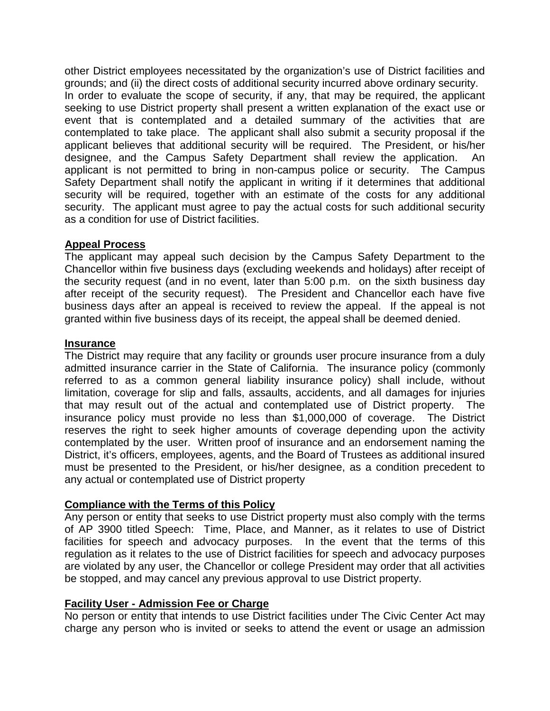other District employees necessitated by the organization's use of District facilities and grounds; and (ii) the direct costs of additional security incurred above ordinary security. In order to evaluate the scope of security, if any, that may be required, the applicant seeking to use District property shall present a written explanation of the exact use or event that is contemplated and a detailed summary of the activities that are contemplated to take place. The applicant shall also submit a security proposal if the applicant believes that additional security will be required. The President, or his/her designee, and the Campus Safety Department shall review the application. An applicant is not permitted to bring in non-campus police or security. The Campus Safety Department shall notify the applicant in writing if it determines that additional security will be required, together with an estimate of the costs for any additional security. The applicant must agree to pay the actual costs for such additional security as a condition for use of District facilities.

# **Appeal Process**

The applicant may appeal such decision by the Campus Safety Department to the Chancellor within five business days (excluding weekends and holidays) after receipt of the security request (and in no event, later than 5:00 p.m. on the sixth business day after receipt of the security request). The President and Chancellor each have five business days after an appeal is received to review the appeal. If the appeal is not granted within five business days of its receipt, the appeal shall be deemed denied.

### **Insurance**

The District may require that any facility or grounds user procure insurance from a duly admitted insurance carrier in the State of California. The insurance policy (commonly referred to as a common general liability insurance policy) shall include, without limitation, coverage for slip and falls, assaults, accidents, and all damages for injuries that may result out of the actual and contemplated use of District property. The insurance policy must provide no less than \$1,000,000 of coverage. The District reserves the right to seek higher amounts of coverage depending upon the activity contemplated by the user. Written proof of insurance and an endorsement naming the District, it's officers, employees, agents, and the Board of Trustees as additional insured must be presented to the President, or his/her designee, as a condition precedent to any actual or contemplated use of District property

# **Compliance with the Terms of this Policy**

Any person or entity that seeks to use District property must also comply with the terms of AP 3900 titled Speech: Time, Place, and Manner, as it relates to use of District facilities for speech and advocacy purposes. In the event that the terms of this regulation as it relates to the use of District facilities for speech and advocacy purposes are violated by any user, the Chancellor or college President may order that all activities be stopped, and may cancel any previous approval to use District property.

# **Facility User - Admission Fee or Charge**

No person or entity that intends to use District facilities under The Civic Center Act may charge any person who is invited or seeks to attend the event or usage an admission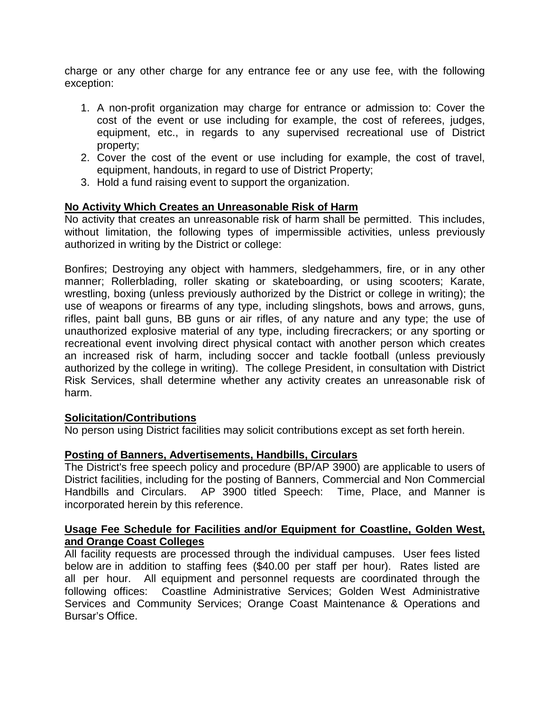charge or any other charge for any entrance fee or any use fee, with the following exception:

- 1. A non-profit organization may charge for entrance or admission to: Cover the cost of the event or use including for example, the cost of referees, judges, equipment, etc., in regards to any supervised recreational use of District property;
- 2. Cover the cost of the event or use including for example, the cost of travel, equipment, handouts, in regard to use of District Property;
- 3. Hold a fund raising event to support the organization.

# **No Activity Which Creates an Unreasonable Risk of Harm**

No activity that creates an unreasonable risk of harm shall be permitted. This includes, without limitation, the following types of impermissible activities, unless previously authorized in writing by the District or college:

Bonfires; Destroying any object with hammers, sledgehammers, fire, or in any other manner; Rollerblading, roller skating or skateboarding, or using scooters; Karate, wrestling, boxing (unless previously authorized by the District or college in writing); the use of weapons or firearms of any type, including slingshots, bows and arrows, guns, rifles, paint ball guns, BB guns or air rifles, of any nature and any type; the use of unauthorized explosive material of any type, including firecrackers; or any sporting or recreational event involving direct physical contact with another person which creates an increased risk of harm, including soccer and tackle football (unless previously authorized by the college in writing). The college President, in consultation with District Risk Services, shall determine whether any activity creates an unreasonable risk of harm.

# **Solicitation/Contributions**

No person using District facilities may solicit contributions except as set forth herein.

# **Posting of Banners, Advertisements, Handbills, Circulars**

The District's free speech policy and procedure (BP/AP 3900) are applicable to users of District facilities, including for the posting of Banners, Commercial and Non Commercial Handbills and Circulars. AP 3900 titled Speech: Time, Place, and Manner is incorporated herein by this reference.

# **Usage Fee Schedule for Facilities and/or Equipment for Coastline, Golden West, and Orange Coast Colleges**

All facility requests are processed through the individual campuses. User fees listed below are in addition to staffing fees (\$40.00 per staff per hour). Rates listed are all per hour. All equipment and personnel requests are coordinated through the following offices: Coastline Administrative Services; Golden West Administrative Services and Community Services; Orange Coast Maintenance & Operations and Bursar's Office.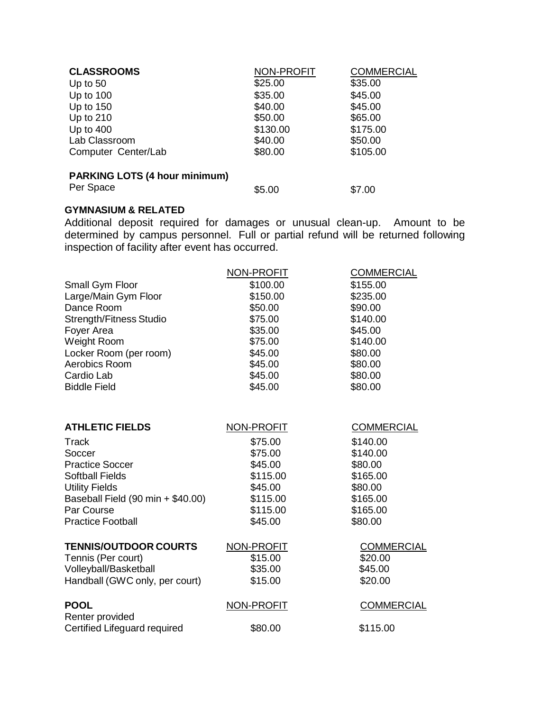| <b>NON-PROFIT</b> | <b>COMMERCIAL</b> |
|-------------------|-------------------|
| \$25.00           | \$35.00           |
| \$35.00           | \$45.00           |
| \$40.00           | \$45.00           |
| \$50.00           | \$65.00           |
| \$130.00          | \$175.00          |
| \$40.00           | \$50.00           |
| \$80.00           | \$105.00          |
|                   |                   |
|                   |                   |

# **PARKING LOTS (4 hour minimum)**

Per Space \$5.00 \$7.00

# **GYMNASIUM & RELATED**

Additional deposit required for damages or unusual clean-up. Amount to be determined by campus personnel. Full or partial refund will be returned following inspection of facility after event has occurred.

| NON-PROFIT        | <b>COMMERCIAL</b> |
|-------------------|-------------------|
| \$100.00          | \$155.00          |
| \$150.00          | \$235.00          |
| \$50.00           | \$90.00           |
| \$75.00           | \$140.00          |
| \$35.00           | \$45.00           |
| \$75.00           | \$140.00          |
| \$45.00           | \$80.00           |
| \$45.00           | \$80.00           |
| \$45.00           | \$80.00           |
| \$45.00           | \$80.00           |
|                   |                   |
| NON-PROFIT        | <b>COMMERCIAL</b> |
| \$75.00           | \$140.00          |
| \$75.00           | \$140.00          |
| \$45.00           | \$80.00           |
| \$115.00          | \$165.00          |
| \$45.00           | \$80.00           |
| \$115.00          | \$165.00          |
| \$115.00          | \$165.00          |
| \$45.00           | \$80.00           |
| NON-PROFIT        | <b>COMMERCIAL</b> |
| \$15.00           | \$20.00           |
| \$35.00           | \$45.00           |
| \$15.00           | \$20.00           |
| <b>NON-PROFIT</b> | <b>COMMERCIAL</b> |
| \$80.00           | \$115.00          |
|                   |                   |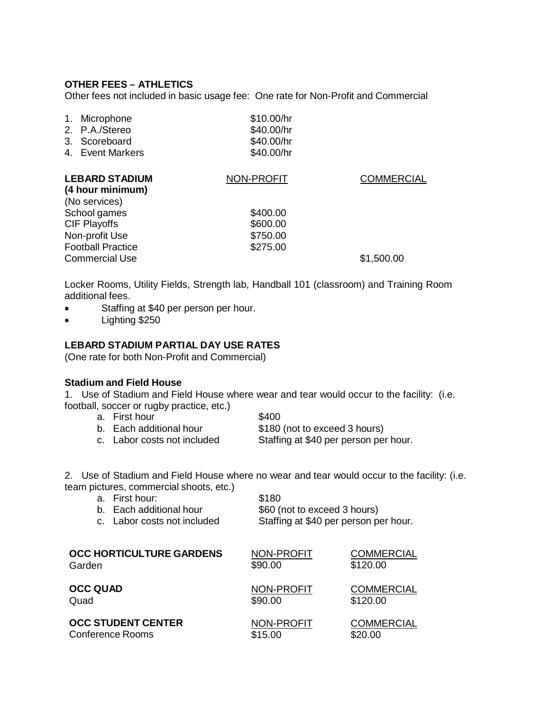### **OTHER FEES – ATHLETICS**

Other fees not included in basic usage fee: One rate for Non-Profit and Commercial

| 1. Microphone    | \$10.00/hr |
|------------------|------------|
| 2. P.A./Stereo   | \$40.00/hr |
| 3. Scoreboard    | \$40.00/hr |
| 4. Event Markers | \$40.00/hr |

| <b>LEBARD STADIUM</b><br>(4 hour minimum)<br>(No services)          | NON-PROFIT           | <b>COMMERCIAL</b> |
|---------------------------------------------------------------------|----------------------|-------------------|
| School games<br><b>CIF Playoffs</b>                                 | \$400.00<br>\$600.00 |                   |
| Non-profit Use<br><b>Football Practice</b><br><b>Commercial Use</b> | \$750.00<br>\$275.00 | \$1,500.00        |

Locker Rooms, Utility Fields, Strength lab, Handball 101 (classroom) and Training Room additional fees.

- Staffing at \$40 per person per hour.
- Lighting \$250

#### **LEBARD STADIUM PARTIAL DAY USE RATES**

(One rate for both Non-Profit and Commercial)

#### **Stadium and Field House**

1. Use of Stadium and Field House where wear and tear would occur to the facility: (i.e. football, soccer or rugby practice, etc.)

- a. First hour the same states and states and states and states states and states states and states and states
- b. Each additional hour \$180 (not to exceed 3 hours)<br>c. Labor costs not included Staffing at \$40 per person per
	- Staffing at \$40 per person per hour.

2. Use of Stadium and Field House where no wear and tear would occur to the facility: (i.e. team pictures, commercial shoots, etc.)

|                 | a. First hour:<br>b. Each additional hour<br>c. Labor costs not included | \$180<br>\$60 (not to exceed 3 hours) | Staffing at \$40 per person per hour. |
|-----------------|--------------------------------------------------------------------------|---------------------------------------|---------------------------------------|
| Garden          | <b>OCC HORTICULTURE GARDENS</b>                                          | NON-PROFIT<br>\$90.00                 | <b>COMMERCIAL</b><br>\$120.00         |
| <b>OCC QUAD</b> |                                                                          | <b>NON-PROFIT</b>                     | <b>COMMERCIAL</b>                     |
| Quad            |                                                                          | \$90.00                               | \$120.00                              |
|                 | <b>OCC STUDENT CENTER</b>                                                | <b>NON-PROFIT</b>                     | <b>COMMERCIAL</b>                     |
|                 | <b>Conference Rooms</b>                                                  | \$15.00                               | \$20.00                               |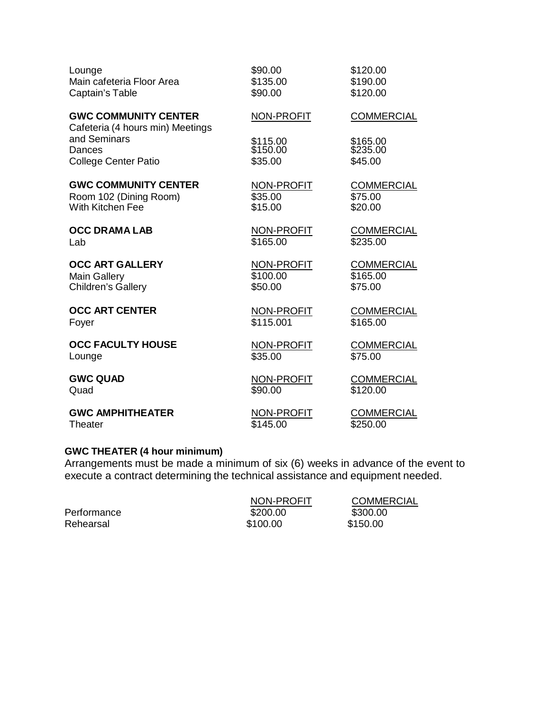| Lounge                                                          | \$90.00           | \$120.00          |
|-----------------------------------------------------------------|-------------------|-------------------|
| Main cafeteria Floor Area                                       | \$135.00          | \$190.00          |
| Captain's Table                                                 | \$90.00           | \$120.00          |
| <b>GWC COMMUNITY CENTER</b><br>Cafeteria (4 hours min) Meetings | NON-PROFIT        | <b>COMMERCIAL</b> |
| and Seminars                                                    | \$115.00          | \$165.00          |
| Dances                                                          | \$150.00          | \$235.00          |
| <b>College Center Patio</b>                                     | \$35.00           | \$45.00           |
| <b>GWC COMMUNITY CENTER</b>                                     | NON-PROFIT        | <b>COMMERCIAL</b> |
| Room 102 (Dining Room)                                          | \$35.00           | \$75.00           |
| With Kitchen Fee                                                | \$15.00           | \$20.00           |
| <b>OCC DRAMA LAB</b>                                            | NON-PROFIT        | <b>COMMERCIAL</b> |
| Lab                                                             | \$165.00          | \$235.00          |
| <b>OCC ART GALLERY</b>                                          | NON-PROFIT        | <b>COMMERCIAL</b> |
| <b>Main Gallery</b>                                             | \$100.00          | \$165.00          |
| <b>Children's Gallery</b>                                       | \$50.00           | \$75.00           |
| <b>OCC ART CENTER</b>                                           | <b>NON-PROFIT</b> | <b>COMMERCIAL</b> |
| Foyer                                                           | \$115.001         | \$165.00          |
| <b>OCC FACULTY HOUSE</b>                                        | <b>NON-PROFIT</b> | <b>COMMERCIAL</b> |
| Lounge                                                          | \$35.00           | \$75.00           |
| <b>GWC QUAD</b>                                                 | NON-PROFIT        | <b>COMMERCIAL</b> |
| Quad                                                            | \$90.00           | \$120.00          |
| <b>GWC AMPHITHEATER</b>                                         | NON-PROFIT        | <b>COMMERCIAL</b> |
| Theater                                                         | \$145.00          | \$250.00          |

#### **GWC THEATER (4 hour minimum)**

Arrangements must be made a minimum of six (6) weeks in advance of the event to execute a contract determining the technical assistance and equipment needed.

|             | NON-PROFIT | <b>COMMERCIAL</b> |
|-------------|------------|-------------------|
| Performance | \$200.00   | \$300.00          |
| Rehearsal   | \$100.00   | \$150.00          |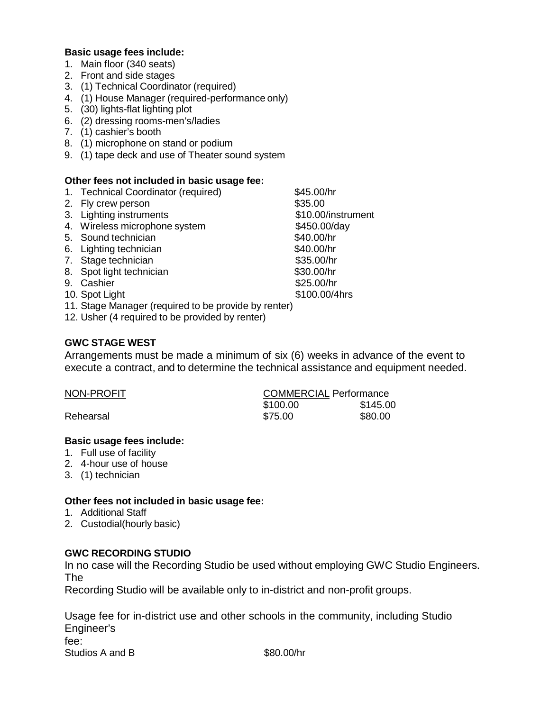### **Basic usage fees include:**

- 1. Main floor (340 seats)
- 2. Front and side stages
- 3. (1) Technical Coordinator (required)
- 4. (1) House Manager (required-performance only)
- 5. (30) lights-flat lighting plot
- 6. (2) dressing rooms-men's/ladies
- 7. (1) cashier's booth
- 8. (1) microphone on stand or podium
- 9. (1) tape deck and use of Theater sound system

#### **Other fees not included in basic usage fee:**

- 1. Technical Coordinator (required)  $$45.00/hr$ <br>2. Fly crew person 335.00
- 2. Fly crew person
- 3. Lighting instruments \$10.00/instrument
- 4. Wireless microphone system  $$450.00/day$
- 5. Sound technician \$40.00/hr
- 6. Lighting technician  $$40.00/hr$
- 7. Stage technician  $$35.00/hr$
- 8. Spot light technician \$30.00/hr
- 
- 9. Cashier \$25.00/hr<br>10. Spot Light \$100.00/4hrs 10. Spot Light
- 11. Stage Manager (required to be provide by renter)
- 12. Usher (4 required to be provided by renter)

### **GWC STAGE WEST**

Arrangements must be made a minimum of six (6) weeks in advance of the event to execute a contract, and to determine the technical assistance and equipment needed.

| NON-PROFIT | <b>COMMERCIAL Performance</b> |          |
|------------|-------------------------------|----------|
|            | \$100.00                      | \$145.00 |
| Rehearsal  | \$75.00                       | \$80.00  |

### **Basic usage fees include:**

- 1. Full use of facility
- 2. 4-hour use of house
- 3. (1) technician

### **Other fees not included in basic usage fee:**

- 1. Additional Staff
- 2. Custodial(hourly basic)

### **GWC RECORDING STUDIO**

In no case will the Recording Studio be used without employing GWC Studio Engineers. The

Recording Studio will be available only to in-district and non-profit groups.

Usage fee for in-district use and other schools in the community, including Studio Engineer's fee:

Studios A and B  $$80.00/hr$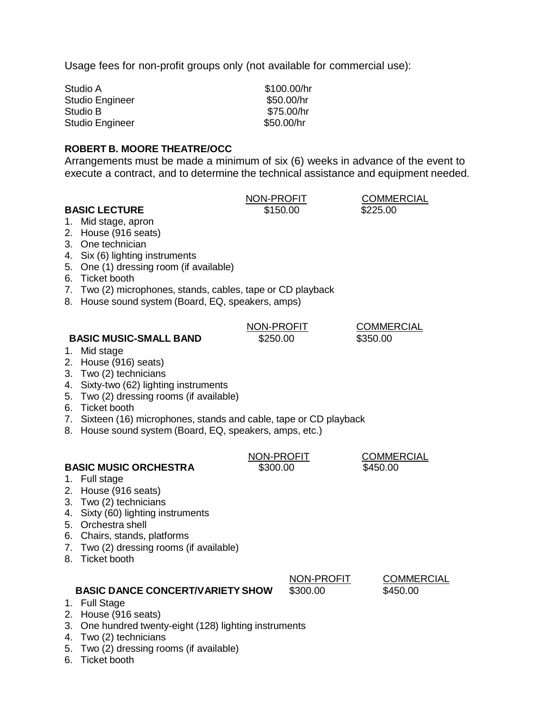Usage fees for non-profit groups only (not available for commercial use):

Studio A  $$100.00/hr$ Studio Engineer \$50.00/hr Studio B  $$75.00/hr$ Studio Engineer \$50.00/hr

# **ROBERT B. MOORE THEATRE/OCC**

Arrangements must be made a minimum of six (6) weeks in advance of the event to execute a contract, and to determine the technical assistance and equipment needed.

# **BASIC LECTURE** \$150.00

NON-PROFIT COMMERCIAL<br>\$150.00 \$225.00

- 1. Mid stage, apron
- 2. House (916 seats)
- 3. One technician
- 4. Six (6) lighting instruments
- 5. One (1) dressing room (if available)
- 6. Ticket booth
- 7. Two (2) microphones, stands, cables, tape or CD playback
- 8. House sound system (Board, EQ, speakers, amps)

# NON-PROFIT COMMERCIAL

# **BASIC MUSIC-SMALL BAND** \$250.00 \$350.00

- 1. Mid stage
- 2. House (916) seats)
- 3. Two (2) technicians
- 4. Sixty-two (62) lighting instruments
- 5. Two (2) dressing rooms (if available)
- 6. Ticket booth
- 7. Sixteen (16) microphones, stands and cable, tape or CD playback
- 8. House sound system (Board, EQ, speakers, amps, etc.)

# **BASIC MUSIC ORCHESTRA** \$300.00 \$450.00

- 1. Full stage
- 2. House (916 seats)
- 3. Two (2) technicians
- 4. Sixty (60) lighting instruments
- 5. Orchestra shell
- 6. Chairs, stands, platforms
- 7. Two (2) dressing rooms (if available)
- 8. Ticket booth

# **BASIC DANCE CONCERT/VARIETY SHOW** \$300.00 \$450.00

- 1. Full Stage
- 2. House (916 seats)
- 3. One hundred twenty-eight (128) lighting instruments
- 4. Two (2) technicians
- 5. Two (2) dressing rooms (if available)
- 6. Ticket booth

NON-PROFIT COMMERCIAL

NON-PROFIT COMMERCIAL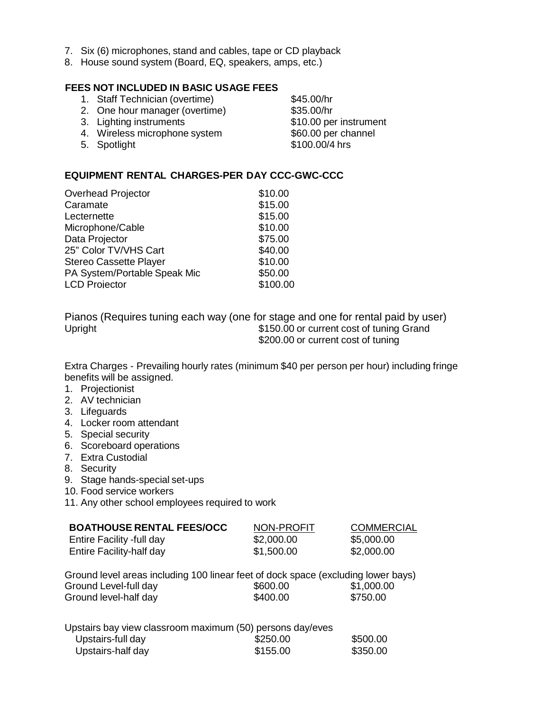- 7. Six (6) microphones, stand and cables, tape or CD playback
- 8. House sound system (Board, EQ, speakers, amps, etc.)

# **FEES NOT INCLUDED IN BASIC USAGE FEES**

- 1. Staff Technician (overtime) \$45.00/hr 2. One hour manager (overtime) \$35.00/hr
- 
- 4. Wireless microphone system \$60.00 per channel
- 5. Spotlight \$100.00/4 hrs

**EQUIPMENT RENTAL CHARGES-PER DAY CCC-GWC-CCC**

| \$10.00  |
|----------|
| \$15.00  |
| \$15.00  |
| \$10.00  |
| \$75.00  |
| \$40.00  |
| \$10.00  |
| \$50.00  |
| \$100.00 |
|          |

Pianos (Requires tuning each way (one for stage and one for rental paid by user) Upright **1150.000 Upright 120** Upright **1150.000 CULL** \$200.00 or current cost of tuning

Extra Charges - Prevailing hourly rates (minimum \$40 per person per hour) including fringe benefits will be assigned.

- 1. Projectionist
- 2. AV technician
- 3. Lifeguards
- 4. Locker room attendant
- 5. Special security
- 6. Scoreboard operations
- 7. Extra Custodial
- 8. Security
- 9. Stage hands-special set-ups
- 10. Food service workers

11. Any other school employees required to work

| <b>BOATHOUSE RENTAL FEES/OCC</b> | NON-PROFIT | <b>COMMERCIAL</b> |
|----------------------------------|------------|-------------------|
| Entire Facility -full day        | \$2,000.00 | \$5,000.00        |
| Entire Facility-half day         | \$1,500.00 | \$2,000.00        |

Ground Level-full day  $$600.00$  \$1,000.00<br>Ground level-half day  $$400.00$  \$750.00 Ground level-half day Ground level areas including 100 linear feet of dock space (excluding lower bays)

| Upstairs bay view classroom maximum (50) persons day/eves |          |          |
|-----------------------------------------------------------|----------|----------|
| Upstairs-full day                                         | \$250.00 | \$500.00 |
| Upstairs-half day                                         | \$155.00 | \$350.00 |

3. Lighting instruments \$10.00 per instrument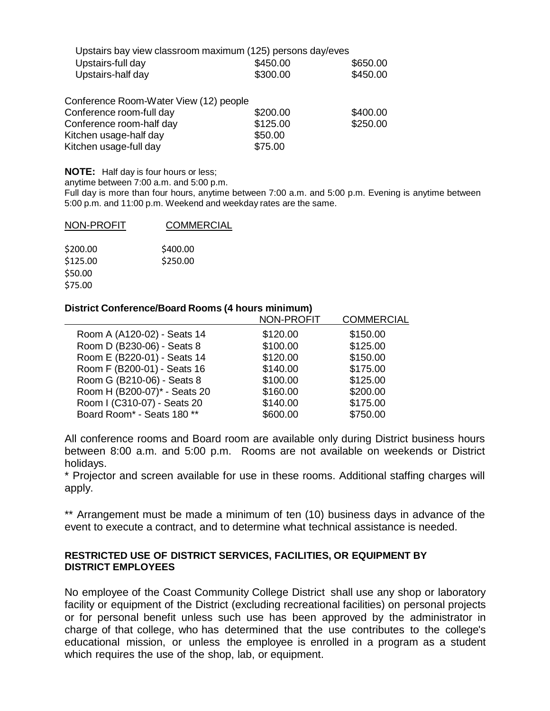| Upstairs bay view classroom maximum (125) persons day/eves |          |          |
|------------------------------------------------------------|----------|----------|
| Upstairs-full day                                          | \$450.00 | \$650.00 |
| Upstairs-half day                                          | \$300.00 | \$450.00 |

| Conference Room-Water View (12) people |          |          |
|----------------------------------------|----------|----------|
| Conference room-full day               | \$200.00 | \$400.00 |
| Conference room-half day               | \$125.00 | \$250.00 |
| Kitchen usage-half day                 | \$50.00  |          |
| Kitchen usage-full day                 | \$75.00  |          |

**NOTE:** Half day is four hours or less;

anytime between 7:00 a.m. and 5:00 p.m.

Full day is more than four hours, anytime between 7:00 a.m. and 5:00 p.m. Evening is anytime between 5:00 p.m. and 11:00 p.m. Weekend and weekday rates are the same.

| NON-PROFIT | <b>COMMERCIAL</b> |
|------------|-------------------|
|            |                   |
| \$200.00   | \$400.00          |
| \$125.00   | \$250.00          |
| \$50.00    |                   |
| \$75.00    |                   |

#### **District Conference/Board Rooms (4 hours minimum)**

|                              | <b>NON-PROFIT</b> | <b>COMMERCIAL</b> |
|------------------------------|-------------------|-------------------|
| Room A (A120-02) - Seats 14  | \$120.00          | \$150.00          |
| Room D (B230-06) - Seats 8   | \$100.00          | \$125.00          |
| Room E (B220-01) - Seats 14  | \$120.00          | \$150.00          |
| Room F (B200-01) - Seats 16  | \$140.00          | \$175.00          |
| Room G (B210-06) - Seats 8   | \$100.00          | \$125.00          |
| Room H (B200-07)* - Seats 20 | \$160.00          | \$200.00          |
| Room I (C310-07) - Seats 20  | \$140.00          | \$175.00          |
| Board Room* - Seats 180 **   | \$600.00          | \$750.00          |
|                              |                   |                   |

All conference rooms and Board room are available only during District business hours between 8:00 a.m. and 5:00 p.m. Rooms are not available on weekends or District holidays.

\* Projector and screen available for use in these rooms. Additional staffing charges will apply.

\*\* Arrangement must be made a minimum of ten (10) business days in advance of the event to execute a contract, and to determine what technical assistance is needed.

### **RESTRICTED USE OF DISTRICT SERVICES, FACILITIES, OR EQUIPMENT BY DISTRICT EMPLOYEES**

No employee of the Coast Community College District shall use any shop or laboratory facility or equipment of the District (excluding recreational facilities) on personal projects or for personal benefit unless such use has been approved by the administrator in charge of that college, who has determined that the use contributes to the college's educational mission, or unless the employee is enrolled in a program as a student which requires the use of the shop, lab, or equipment.